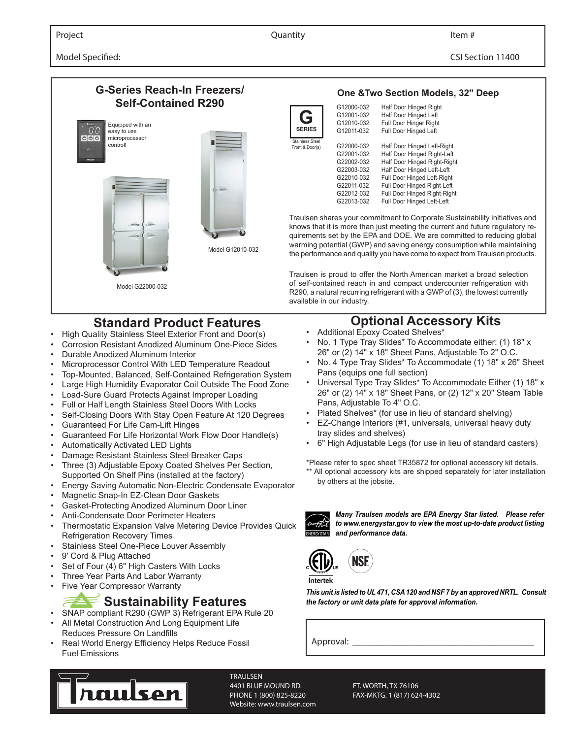Model Specified: CSI Section 11400



- 
- High Quality Stainless Steel Exterior Front and Door(s)
- Corrosion Resistant Anodized Aluminum One-Piece Sides
- Durable Anodized Aluminum Interior
- Microprocessor Control With LED Temperature Readout
- Top-Mounted, Balanced, Self-Contained Refrigeration System
- Large High Humidity Evaporator Coil Outside The Food Zone
- Load-Sure Guard Protects Against Improper Loading
- Full or Half Length Stainless Steel Doors With Locks
- Self-Closing Doors With Stay Open Feature At 120 Degrees
- Guaranteed For Life Cam-Lift Hinges
- Guaranteed For Life Horizontal Work Flow Door Handle(s)
- Automatically Activated LED Lights
- Damage Resistant Stainless Steel Breaker Caps
- Three (3) Adjustable Epoxy Coated Shelves Per Section, Supported On Shelf Pins (installed at the factory)
- Energy Saving Automatic Non-Electric Condensate Evaporator
- Magnetic Snap-In EZ-Clean Door Gaskets
- Gasket-Protecting Anodized Aluminum Door Liner
- Anti-Condensate Door Perimeter Heaters
- Thermostatic Expansion Valve Metering Device Provides Quick Refrigeration Recovery Times
- Stainless Steel One-Piece Louver Assembly
- 9' Cord & Plug Attached
- Set of Four (4) 6" High Casters With Locks
- Three Year Parts And Labor Warranty
- **Five Year Compressor Warranty**

## **Sustainability Features**

- SNAP compliant R290 (GWP 3) Refrigerant EPA Rule 20 All Metal Construction And Long Equipment Life
- Reduces Pressure On Landfills
- Real World Energy Efficiency Helps Reduce Fossil Fuel Emissions



**TRAULSEN** 4401 BLUE MOUND RD. FT. WORTH, TX 76106 PHONE 1 (800) 825-8220 FAX-MKTG. 1 (817) 624-4302 Website: www.traulsen.com

knows that it is more than just meeting the current and future regulatory requirements set by the EPA and DOE. We are committed to reducing global warming potential (GWP) and saving energy consumption while maintaining the performance and quality you have come to expect from Traulsen products.

Traulsen is proud to offer the North American market a broad selection of self-contained reach in and compact undercounter refrigeration with R290, a natural recurring refrigerant with a GWP of (3), the lowest currently

# **Optional Accessory Kits**

- Additional Epoxy Coated Shelves\*
- No. 1 Type Tray Slides\* To Accommodate either: (1) 18" x 26" or (2) 14" x 18" Sheet Pans, Adjustable To 2" O.C.
- No. 4 Type Tray Slides\* To Accommodate (1) 18" x 26" Sheet Pans (equips one full section)
- Universal Type Tray Slides\* To Accommodate Either (1) 18" x 26" or (2) 14" x 18" Sheet Pans, or (2) 12" x 20" Steam Table Pans, Adjustable To 4" O.C.
- Plated Shelves\* (for use in lieu of standard shelving)
- EZ-Change Interiors (#1, universals, universal heavy duty tray slides and shelves)
- 6" High Adjustable Legs (for use in lieu of standard casters)

\*Please refer to spec sheet TR35872 for optional accessory kit details.

\*\* All optional accessory kits are shipped separately for later installation by others at the jobsite.



*Many Traulsen models are EPA Energy Star listed. Please refer to www.energystar.gov to view the most up-to-date product listing and performance data.*



*This unit is listed to UL 471, CSA 120 and NSF 7 by an approved NRTL. Consult the factory or unit data plate for approval information.*

Approval: